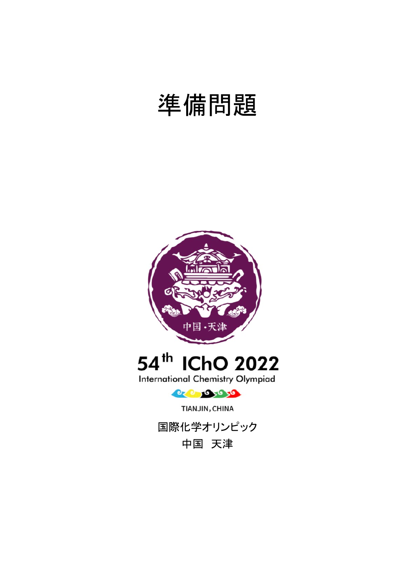# 準備問題





**International Chemistry Olympiad** 



TIANJIN, CHINA



中国 天津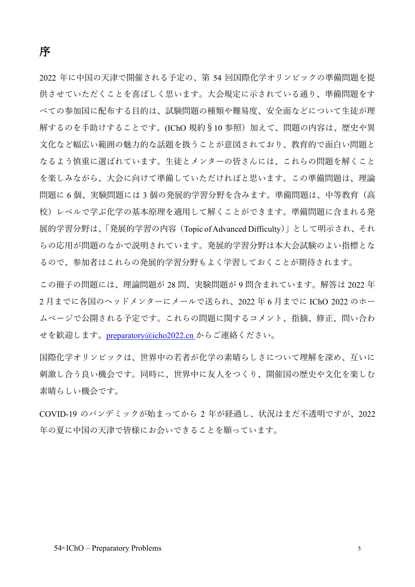2022 年に中国の天津で開催される予定の、第 54 回国際化学オリンピックの準備問題を提 供させていただくことを喜ばしく思います。大会規定に示されている通り、準備問題をす べての参加国に配布する目的は、試験問題の種類や難易度、安全面などについて生徒が理 解するのを手助けすることです。(IChO 規約§10 参照)加えて、問題の内容は、歴史や異 文化など幅広い範囲の魅力的な話題を扱うことが意図されており、教育的で面白い問題と なるよう慎重に選ばれています。生徒とメンターの皆さんには、これらの問題を解くこと を楽しみながら、大会に向けて準備していただければと思います。この準備問題は、理論 問題に 6 個、実験問題には 3 個の発展的学習分野を含みます。準備問題は、中等教育(高 校)レベルで学ぶ化学の基本原理を適用して解くことができます。準備問題に含まれる発 展的学習分野は、「発展的学習の内容(Topic of Advanced Difficulty)」として明示され、それ らの応用が問題のなかで説明されています。発展的学習分野は本大会試験のよい指標とな るので、参加者はこれらの発展的学習分野もよく学習しておくことが期待されます。

この冊子の問題には、理論問題が 28 問、実験問題が 9 問含まれています。解答は 2022 年 2 月までに各国のヘッドメンターにメールで送られ、2022 年 6 月までに IChO 2022 のホー ムページで公開される予定です。これらの問題に関するコメント、指摘、修正、問い合わ せを歓迎します。[preparatory@icho2022.cn](mailto:preparatory@icho2022.cn) からご連絡ください。

国際化学オリンピックは、世界中の若者が化学の素晴らしさについて理解を深め、互いに 刺激し合う良い機会です。同時に、世界中に友人をつくり、開催国の歴史や文化を楽しむ 素晴らしい機会です。

COVID-19 のパンデミックが始まってから 2 年が経過し、状況はまだ不透明ですが、2022 年の夏に中国の天津で皆様にお会いできることを願っています。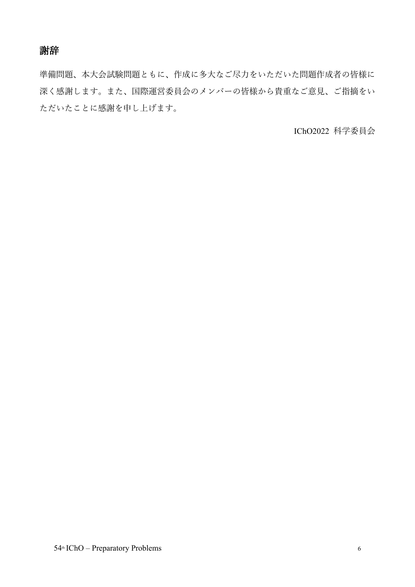謝辞

準備問題、本大会試験問題ともに、作成に多大なご尽力をいただいた問題作成者の皆様に 深く感謝します。また、国際運営委員会のメンバーの皆様から貴重なご意見、ご指摘をい ただいたことに感謝を申し上げます。

IChO2022 科学委員会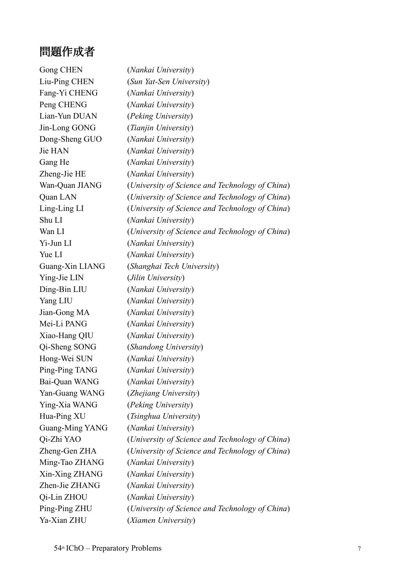# 問題作成者

| Gong CHEN       | (Nankai University)                             |
|-----------------|-------------------------------------------------|
| Liu-Ping CHEN   | (Sun Yat-Sen University)                        |
| Fang-Yi CHENG   | (Nankai University)                             |
| Peng CHENG      | (Nankai University)                             |
| Lian-Yun DUAN   | (Peking University)                             |
| Jin-Long GONG   | (Tianjin University)                            |
| Dong-Sheng GUO  | (Nankai University)                             |
| Jie HAN         | (Nankai University)                             |
| Gang He         | (Nankai University)                             |
| Zheng-Jie HE    | (Nankai University)                             |
| Wan-Quan JIANG  | (University of Science and Technology of China) |
| Quan LAN        | (University of Science and Technology of China) |
| Ling-Ling LI    | (University of Science and Technology of China) |
| Shu LI          | (Nankai University)                             |
| Wan LI          | (University of Science and Technology of China) |
| Yi-Jun LI       | (Nankai University)                             |
| Yue LI          | (Nankai University)                             |
| Guang-Xin LIANG | (Shanghai Tech University)                      |
| Ying-Jie LIN    | (Jilin University)                              |
| Ding-Bin LIU    | (Nankai University)                             |
| Yang LIU        | (Nankai University)                             |
| Jian-Gong MA    | (Nankai University)                             |
| Mei-Li PANG     | (Nankai University)                             |
| Xiao-Hang QIU   | (Nankai University)                             |
| Qi-Sheng SONG   | (Shandong University)                           |
| Hong-Wei SUN    | (Nankai University)                             |
| Ping-Ping TANG  | (Nankai University)                             |
| Bai-Quan WANG   | (Nankai University)                             |
| Yan-Guang WANG  | (Zhejiang University)                           |
| Ying-Xia WANG   | (Peking University)                             |
| Hua-Ping XU     | (Tsinghua University)                           |
| Guang-Ming YANG | (Nankai University)                             |
| Qi-Zhi YAO      | (University of Science and Technology of China) |
| Zheng-Gen ZHA   | (University of Science and Technology of China) |
| Ming-Tao ZHANG  | (Nankai University)                             |
| Xin-Xing ZHANG  | (Nankai University)                             |
| Zhen-Jie ZHANG  | (Nankai University)                             |
| Qi-Lin ZHOU     | (Nankai University)                             |
| Ping-Ping ZHU   | (University of Science and Technology of China) |
| Ya-Xian ZHU     | (Xiamen University)                             |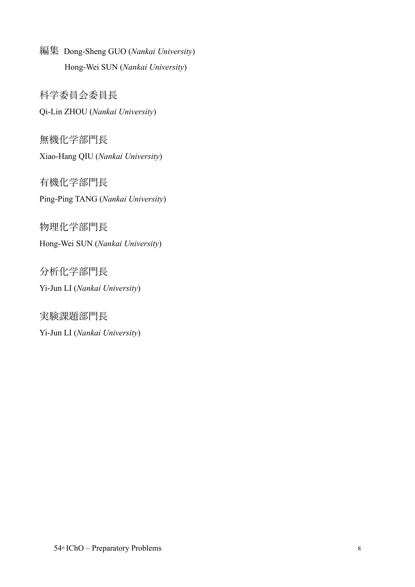編集 Dong-Sheng GUO (*Nankai University*) Hong-Wei SUN (*Nankai University*)

科学委員会委員長 Qi-Lin ZHOU (*Nankai University*)

無機化学部門長 Xiao-Hang QIU (*Nankai University*)

有機化学部門長 Ping-Ping TANG (*Nankai University*)

物理化学部門長 Hong-Wei SUN (*Nankai University*)

分析化学部門長 Yi-Jun LI (*Nankai University*)

実験課題部門長 Yi-Jun LI (*Nankai University*)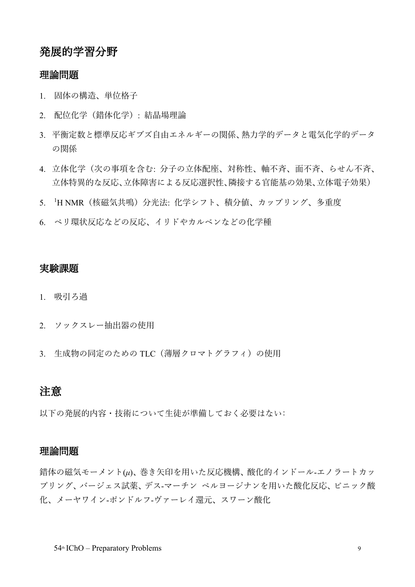## 発展的学習分野

#### 理論問題

- 1. 固体の構造、単位格子
- 2. 配位化学(錯体化学): 結晶場理論
- 3. 平衡定数と標準反応ギブズ自由エネルギーの関係、熱力学的データと電気化学的データ の関係
- 4. 立体化学(次の事項を含む: 分子の立体配座、対称性、軸不斉、面不斉、らせん不斉、 立体特異的な反応、立体障害による反応選択性、隣接する官能基の効果、立体電子効果)
- 5. <sup>1</sup> H NMR(核磁気共鳴)分光法: 化学シフト、積分値、カップリング、多重度
- 6. ペリ環状反応などの反応、イリドやカルベンなどの化学種

#### 実験課題

- 1. 吸引ろ過
- 2. ソックスレー抽出器の使用
- 3. 生成物の同定のための TLC (薄層クロマトグラフィ)の使用

## 注意

以下の発展的内容・技術について生徒が準備しておく必要はない:

#### 理論問題

錯体の磁気モーメント(*μ*)、巻き矢印を用いた反応機構、酸化的インドール-エノラートカッ プリング、バージェス試薬、デス-マーチン ペルヨージナンを用いた酸化反応、ピニック酸 化、メーヤワイン-ポンドルフ-ヴァーレイ還元、スワーン酸化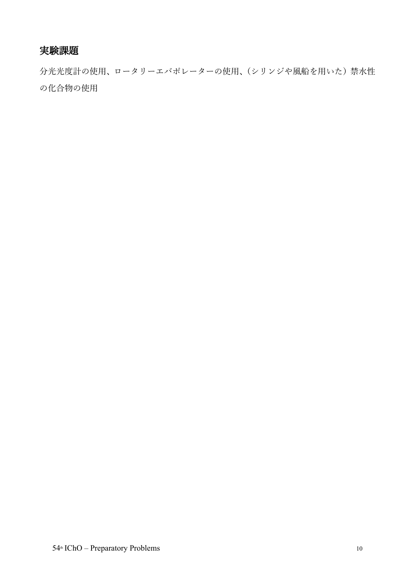## 実験課題

分光光度計の使用、ロータリーエバポレーターの使用、(シリンジや風船を用いた)禁水性 の化合物の使用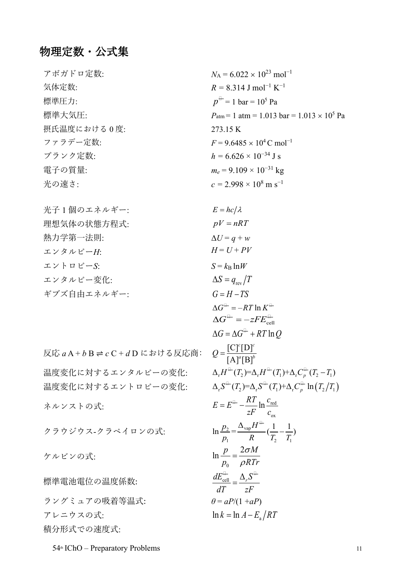## 物理定数・公式集

| アボガドロ定数:    | $N_A = 6.022 \times 10^{23}$ mol <sup>-1</sup>                    |
|-------------|-------------------------------------------------------------------|
| 気体定数:       | $R = 8.314$ J mol <sup>-1</sup> K <sup>-1</sup>                   |
| 標準圧力:       | $p^{\text{+}}=1$ bar = 10 <sup>5</sup> Pa                         |
| 標準大気圧:      | $P_{\text{atm}} = 1$ atm = 1.013 bar = 1.013 × 10 <sup>5</sup> Pa |
| 摂氏温度における0度: | 273.15 K                                                          |
| ファラデー定数:    | $F = 9.6485 \times 10^4$ C mol <sup>-1</sup>                      |
| プランク定数:     | $h = 6.626 \times 10^{-34}$ J s                                   |
| 電子の質量:      | $m_e = 9.109 \times 10^{-31}$ kg                                  |
| 光の速さ:       | $c = 2.998 \times 10^8$ m s <sup>-1</sup>                         |

| 光子 1 個のエネルギー: | $E = hc/\lambda$              |
|---------------|-------------------------------|
| 理想気体の状態方程式:   | $pV = nRT$                    |
| 熱力学第一法則:      | $\Delta U = q + w$            |
| エンタルピーH:      | $H = U + PV$                  |
| エントロピーS:      | $S = k_B \ln W$               |
| エンタルピー変化:     | $\Delta S = q_{\text{rev}}/T$ |
| ギブズ自由エネルギー:   | $G = H - TS$                  |
|               |                               |

反応  $aA + bB$   $\rightleftharpoons$   $cC + dD$  における反応商: 温度変化に対するエンタルピーの変化:  $\Delta_{r} H^{\oplus}(T_{2}) = \Delta_{r} H^{\oplus}(T_{1}) + \Delta_{r} C_{p}^{\oplus}(T_{2} - T_{1})$ 温度変化に対するエントロピーの変化:  $\Delta_{\rm r} S^{\scriptscriptstyle \pm}(T_{\rm 2})$ = $\Delta_{\rm r} S^{\scriptscriptstyle \pm}(T_{\rm 1})$ + $\Delta_{\rm r} C^{\scriptscriptstyle \pm}_p \ln\left(T_{\rm 2}/T_{\rm 1}\right)$ ネルンストの式: クラウジウス-クラペイロンの式: ケルビンの式: 標準電池電位の温度係数:

ラングミュアの吸着等温式: *θ* = *aP*/(1 +*aP*)  $\mathcal{F} \cup \mathcal{F} \cup \mathcal{F} \cup \mathcal{F}$  a  $\ln k = \ln A - E_{s}/RT$ 積分形式での速度式:

 $\Delta G^{\oplus} = -RT \ln K^{\oplus}$  $\Delta G^{\pm} = -zFE_{\rm cell}^{\pm}$  $\Delta G = \Delta G^{\text{H}} + RT \ln Q$  $[A]^{\alpha}[B]$  $c$   $\Gamma$  $\Gamma$ <sup>c</sup>  $Q = \frac{[C] [B]}{[A]^{a} [B]^{b}}$ red ox  $E = E^{\text{\tiny \#}} - \frac{RT}{zF} \ln \frac{c}{c}$  $I_1$   $I_2$   $I_1$  $\ln \frac{p_2}{p_2} = \frac{\Delta_{\rm vap} H^{\rm th}}{p_2} (\frac{1}{T} - \frac{1}{T})$  $\frac{p_2}{p_1} = \frac{p_3}{R} = \frac{1}{T_2} - \frac{1}{T_1}$ E  $\mathbf{0}$  $\ln \frac{p}{p_0} = \frac{2\sigma M}{\rho RTr}$  $\frac{dZ_{\text{cell}}}{dT} = \frac{\Delta_r S}{zF}$  $\begin{array}{ccc} \begin{array}{ccc} \perp & \nearrow & \end{array} & \begin{array}{ccc} \bullet & \end{array} & \begin{array}{ccc} \bullet & \end{array} \end{array}$ 

 $54<sup>th</sup>$  IChO – Preparatory Problems 11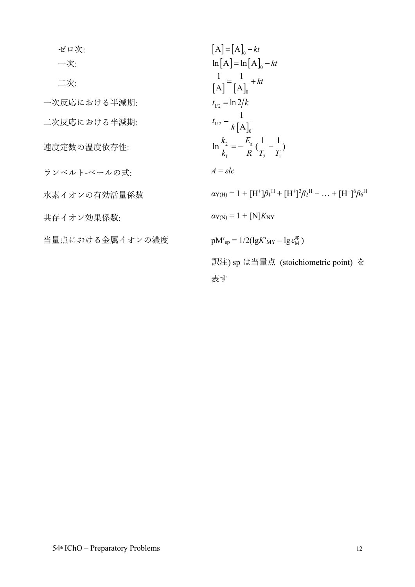| ゼロ次:            | $[A] = [A]_0 - kt$                                                                     |
|-----------------|----------------------------------------------------------------------------------------|
| 一次:             | $\ln[A] = \ln[A]_0 - kt$                                                               |
| 二次:             | $\frac{1}{\lceil A \rceil} = \frac{1}{\lceil A \rceil_{0}} + kt$                       |
| 一次反応における半減期:    | $t_{1/2} = \ln 2/k$                                                                    |
| 二次反応における半減期:    | $t_{1/2} = \frac{1}{k[A]_0}$                                                           |
| 速度定数の温度依存性:     | $\ln \frac{k_2}{k} = -\frac{E_a}{R}(\frac{1}{T_a} - \frac{1}{T_a})$                    |
| ランベルト-ベールの式:    | $A = \varepsilon lc$                                                                   |
| 水素イオンの有効活量係数    | $\alpha_{Y(H)} = 1 + [H^+] \beta_1^H + [H^+]^2 \beta_2^H + \ldots + [H^+]^6 \beta_6^H$ |
| 共存イオン効果係数:      | $\alpha_{\text{Y(N)}} = 1 + \text{[N]}K_{\text{NY}}$                                   |
| 当量点における金属イオンの濃度 | $pM'_{sp} = 1/2(\lg K'_{MY} - \lg c_{M}^{sp})$                                         |
|                 | 訳注) sp は当量点 (stoichiometric point) を                                                   |
|                 | 表す                                                                                     |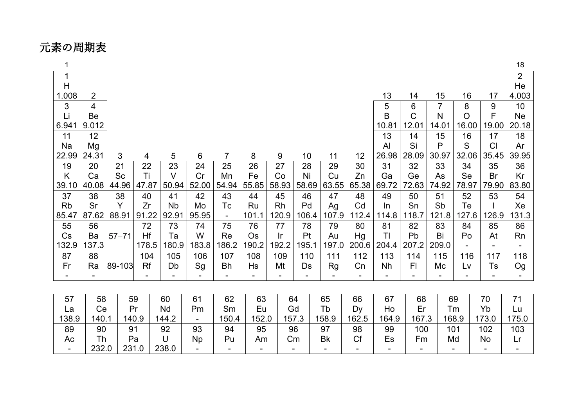元素の周期表

| $\mathbf 1$ |                |           |       |           |           |                          |       |                |       |           |       |                |              |                |         |       | 18             |
|-------------|----------------|-----------|-------|-----------|-----------|--------------------------|-------|----------------|-------|-----------|-------|----------------|--------------|----------------|---------|-------|----------------|
| 1           |                |           |       |           |           |                          |       |                |       |           |       |                |              |                |         |       | $\overline{2}$ |
| H           |                |           |       |           |           |                          |       |                |       |           |       |                |              |                |         |       | He             |
| 1.008       | $\overline{2}$ |           |       |           |           |                          |       |                |       |           |       | 13             | 14           | 15             | 16      | 17    | 4.003          |
| 3           | $\overline{4}$ |           |       |           |           |                          |       |                |       |           |       | 5              | 6            | $\overline{7}$ | 8       | 9     | 10             |
| Li          | Be             |           |       |           |           |                          |       |                |       |           |       | B              | $\mathsf{C}$ | N              | $\circ$ | F     | <b>Ne</b>      |
| 6.941       | 9.012          |           |       |           |           |                          |       |                |       |           |       | 10.81          | 12.01        | 14.01          | 16.00   | 19.00 | 20.18          |
| 11          | 12             |           |       |           |           |                          |       |                |       |           |       | 13             | 14           | 15             | 16      | 17    | 18             |
| Na          | Mg             |           |       |           |           |                          |       |                |       |           |       | AI             | Si           | P              | S       | CI    | Ar             |
| 22.99       | 24.31          | 3         | 4     | 5         | 6         | $\overline{7}$           | 8     | 9              | 10    | 11        | 12    | 26.98          | 28.09        | 30.97          | 32.06   | 35.45 | 39.95          |
| 19          | 20             | 21        | 22    | 23        | 24        | 25                       | 26    | 27             | 28    | 29        | 30    | 31             | 32           | 33             | 34      | 35    | 36             |
| K           | Ca             | Sc        | Ti    | $\vee$    | Cr        | Mn                       | Fe    | Co             | Ni    | Cu        | Zn    | Ga             | Ge           | As             | Se      | Br    | Kr             |
| 39.10       | 40.08          | 44.96     | 47.87 | 50.94     | 52.00     | 54.94                    | 55.85 | 58.93          | 58.69 | 63.55     | 65.38 | 69.72          | 72.63        | 74.92          | 78.97   | 79.90 | 83.80          |
| 37          | 38             | 38        | 40    | 41        | 42        | 43                       | 44    | 45             | 46    | 47        | 48    | 49             | 50           | 51             | 52      | 53    | 54             |
| <b>Rb</b>   | Sr             | Y         | Zr    | <b>Nb</b> | Mo        | Tc                       | Ru    | <b>Rh</b>      | Pd    | Ag        | Cd    | In             | Sn           | Sb             | Te      |       | Xe             |
| 85.47       | 87.62          | 88.91     | 91.22 | 92.91     | 95.95     | $\overline{\phantom{a}}$ | 101.1 | 120.9          | 106.4 | 107.9     | 112.4 | 114.8          | 118.7        | 121.8          | 127.6   | 126.9 | 31.3           |
| 55          | 56             |           | 72    | 73        | 74        | 75                       | 76    | 77             | 78    | 79        | 80    | 81             | 82           | 83             | 84      | 85    | 86             |
| Cs          | Ba             | $57 - 71$ | Hf    | Ta        | W         | Re                       | Os    | $\mathsf{I}$ r | Pt    | Au        | Hg    | T <sub>l</sub> | Pb           | Bi             | Po      | At    | Rn             |
| 132.9       | 137.3          |           | 178.5 | 180.9     | 183.8     | 186.2                    | 190.2 | 192.2          | 195.1 | 197.0     | 200.6 | 204.4          | 207.2        | 209.0          |         |       |                |
| 87          | 88             |           | 104   | 105       | 106       | 107                      | 108   | 109            | 110   | 111       | 112   | 113            | 114          | 115            | 116     | 117   | 118            |
| Fr          | Ra             | 89-103    | Rf    | Db        | Sg        | Bh                       | Hs    | Mt             | Ds    | Rg        | Cn    | Nh             | FI           | Mc             | Lv      | Ts    | Og             |
|             |                |           |       |           |           |                          |       |                |       |           |       |                |              |                |         |       |                |
|             |                |           |       |           |           |                          |       |                |       |           |       |                |              |                |         |       |                |
| 57          | 58             |           | 59    | 60        | 61        | 62                       | 63    |                | 64    | 65        | 66    | 67             | 68           |                | 69      | 70    | 71             |
| La          | Ce             |           | Pr    | Nd        | Pm        | Sm                       | Eu    |                | Gd    | Tb        | Dy    | Ho             | Er           |                | Tm      | Yb    | Lu             |
| 138.9       | 140.1          |           | 140.9 | 144.2     |           | 150.4                    | 152.0 |                | 157.3 | 158.9     | 162.5 | 164.9          | 167.3        |                | 168.9   | 173.0 | 175.0          |
| 89          | 90             |           | 91    | 92        | 93        | 94                       | 95    |                | 96    | 97        | 98    | 99             | 100          |                | 101     | 102   | 103            |
| Ac          | Th             |           | Pa    | $\cup$    | <b>Np</b> | Pu                       | Am    |                | Cm    | <b>Bk</b> | Cf    | Es             | Fm           |                | Md      | No    | Lr             |
|             | 232.0          |           | 231.0 | 238.0     |           |                          |       |                |       |           |       |                |              |                |         |       |                |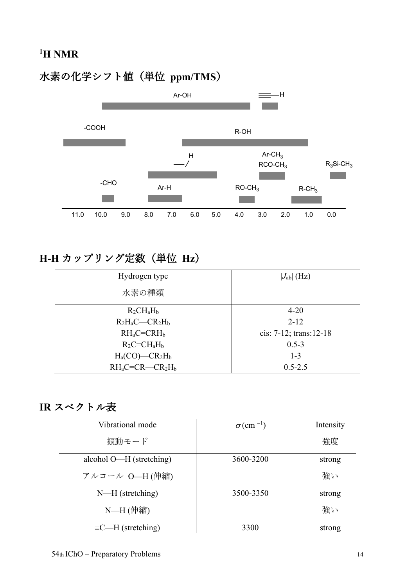# 水素の化学シフト値(単位 **ppm/TMS**)



# **H-H** カップリング定数(単位 **Hz**)

| Hydrogen type          | $ J_{ab} $ (Hz)            |  |  |
|------------------------|----------------------------|--|--|
| 水素の種類                  |                            |  |  |
| $R_2CH_aH_b$           | $4 - 20$                   |  |  |
| $R_2H_aC$ — $CR_2H_b$  | $2 - 12$                   |  |  |
| $RH_aC=CRH_b$          | cis: $7-12$ ; trans: 12-18 |  |  |
| $R_2C = CH_aH_b$       | $0.5 - 3$                  |  |  |
| $H_a(CO)$ — $CR_2H_b$  | $1 - 3$                    |  |  |
| $RH_aC=CR$ - $CR_2H_b$ | $0.5 - 2.5$                |  |  |

## **IR** スペクトル表

| Vibrational mode          | $\sigma$ (cm <sup>-1</sup> ) | Intensity |
|---------------------------|------------------------------|-----------|
| 振動モード                     |                              | 強度        |
| alcohol O—H (stretching)  | 3600-3200                    | strong    |
| アルコール O-H(伸縮)             |                              | 強い        |
| $N-H$ (stretching)        | 3500-3350                    | strong    |
| N-H (伸縮)                  |                              | 強い        |
| $\equiv C-H$ (stretching) | 3300                         | strong    |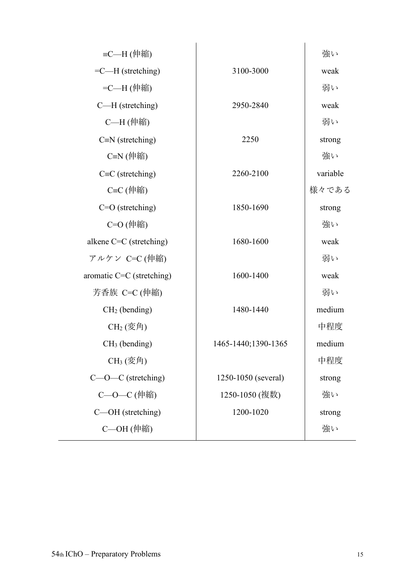| ≡C—H (伸縮)                                   |                     | 強い       |
|---------------------------------------------|---------------------|----------|
| $=$ C—H (stretching)                        | 3100-3000           | weak     |
| =C—H (伸縮)                                   |                     | 弱い       |
| $C-H$ (stretching)                          | 2950-2840           | weak     |
| C—H (伸縮)                                    |                     | 弱い       |
| $C=N$ (stretching)                          | 2250                | strong   |
| $C=N$ (伸縮)                                  |                     | 強い       |
| $C=C$ (stretching)                          | 2260-2100           | variable |
| C≡C (伸縮)                                    |                     | 様々である    |
| $C=O$ (stretching)                          | 1850-1690           | strong   |
| C=O (伸縮)                                    |                     | 強い       |
| alkene $C=C$ (stretching)                   | 1680-1600           | weak     |
| アルケン C=C (伸縮)                               |                     | 弱い       |
| aromatic $C=C$ (stretching)                 | 1600-1400           | weak     |
| 芳香族 C=C (伸縮)                                |                     | 弱い       |
| $CH2$ (bending)                             | 1480-1440           | medium   |
| $CH2( \overline{\mathcal{X}} \mathfrak{H})$ |                     | 中程度      |
| $CH3$ (bending)                             | 1465-1440;1390-1365 | medium   |
| $CH_3(\overline{\mathcal{F}})$              |                     | 中程度      |
| $C$ — $O$ — $C$ (stretching)                | 1250-1050 (several) | strong   |
| C-O-C (伸縮)                                  | 1250-1050 (複数)      | 強い       |
| C—OH (stretching)                           | 1200-1020           | strong   |
| $C$ —OH $($ 伸縮)                             |                     | 強い       |
|                                             |                     |          |